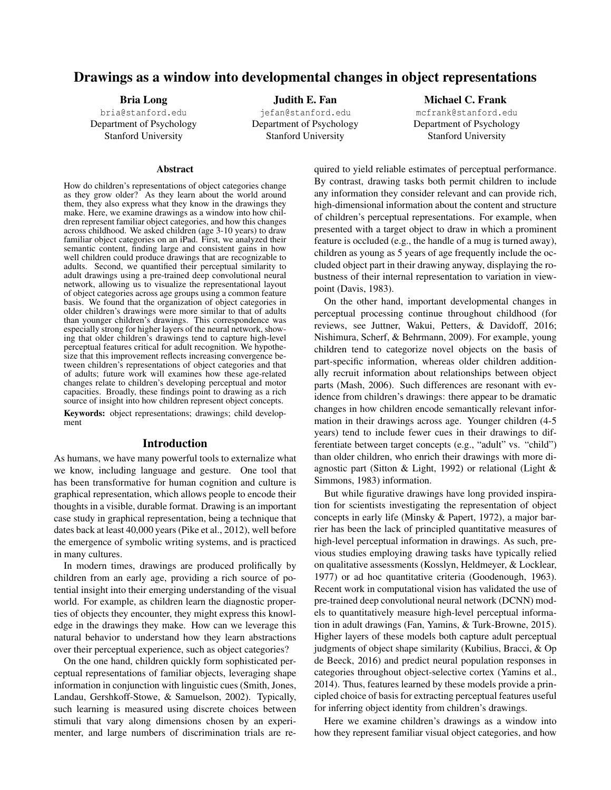## Drawings as a window into developmental changes in object representations

Bria Long bria@stanford.edu Department of Psychology Stanford University

Judith E. Fan jefan@stanford.edu Department of Psychology Stanford University

Michael C. Frank mcfrank@stanford.edu

Department of Psychology Stanford University

#### Abstract

How do children's representations of object categories change as they grow older? As they learn about the world around them, they also express what they know in the drawings they make. Here, we examine drawings as a window into how children represent familiar object categories, and how this changes across childhood. We asked children (age 3-10 years) to draw familiar object categories on an iPad. First, we analyzed their semantic content, finding large and consistent gains in how well children could produce drawings that are recognizable to adults. Second, we quantified their perceptual similarity to adult drawings using a pre-trained deep convolutional neural network, allowing us to visualize the representational layout of object categories across age groups using a common feature basis. We found that the organization of object categories in older children's drawings were more similar to that of adults than younger children's drawings. This correspondence was especially strong for higher layers of the neural network, showing that older children's drawings tend to capture high-level perceptual features critical for adult recognition. We hypothesize that this improvement reflects increasing convergence between children's representations of object categories and that of adults; future work will examines how these age-related changes relate to children's developing perceptual and motor capacities. Broadly, these findings point to drawing as a rich source of insight into how children represent object concepts. Keywords: object representations; drawings; child development

### Introduction

As humans, we have many powerful tools to externalize what we know, including language and gesture. One tool that has been transformative for human cognition and culture is graphical representation, which allows people to encode their thoughts in a visible, durable format. Drawing is an important case study in graphical representation, being a technique that dates back at least 40,000 years (Pike et al., 2012), well before the emergence of symbolic writing systems, and is practiced in many cultures.

In modern times, drawings are produced prolifically by children from an early age, providing a rich source of potential insight into their emerging understanding of the visual world. For example, as children learn the diagnostic properties of objects they encounter, they might express this knowledge in the drawings they make. How can we leverage this natural behavior to understand how they learn abstractions over their perceptual experience, such as object categories?

On the one hand, children quickly form sophisticated perceptual representations of familiar objects, leveraging shape information in conjunction with linguistic cues (Smith, Jones, Landau, Gershkoff-Stowe, & Samuelson, 2002). Typically, such learning is measured using discrete choices between stimuli that vary along dimensions chosen by an experimenter, and large numbers of discrimination trials are required to yield reliable estimates of perceptual performance. By contrast, drawing tasks both permit children to include any information they consider relevant and can provide rich, high-dimensional information about the content and structure of children's perceptual representations. For example, when presented with a target object to draw in which a prominent feature is occluded (e.g., the handle of a mug is turned away), children as young as 5 years of age frequently include the occluded object part in their drawing anyway, displaying the robustness of their internal representation to variation in viewpoint (Davis, 1983).

On the other hand, important developmental changes in perceptual processing continue throughout childhood (for reviews, see Juttner, Wakui, Petters, & Davidoff, 2016; Nishimura, Scherf, & Behrmann, 2009). For example, young children tend to categorize novel objects on the basis of part-specific information, whereas older children additionally recruit information about relationships between object parts (Mash, 2006). Such differences are resonant with evidence from children's drawings: there appear to be dramatic changes in how children encode semantically relevant information in their drawings across age. Younger children (4-5 years) tend to include fewer cues in their drawings to differentiate between target concepts (e.g., "adult" vs. "child") than older children, who enrich their drawings with more diagnostic part (Sitton & Light, 1992) or relational (Light & Simmons, 1983) information.

But while figurative drawings have long provided inspiration for scientists investigating the representation of object concepts in early life (Minsky & Papert, 1972), a major barrier has been the lack of principled quantitative measures of high-level perceptual information in drawings. As such, previous studies employing drawing tasks have typically relied on qualitative assessments (Kosslyn, Heldmeyer, & Locklear, 1977) or ad hoc quantitative criteria (Goodenough, 1963). Recent work in computational vision has validated the use of pre-trained deep convolutional neural network (DCNN) models to quantitatively measure high-level perceptual information in adult drawings (Fan, Yamins, & Turk-Browne, 2015). Higher layers of these models both capture adult perceptual judgments of object shape similarity (Kubilius, Bracci, & Op de Beeck, 2016) and predict neural population responses in categories throughout object-selective cortex (Yamins et al., 2014). Thus, features learned by these models provide a principled choice of basis for extracting perceptual features useful for inferring object identity from children's drawings.

Here we examine children's drawings as a window into how they represent familiar visual object categories, and how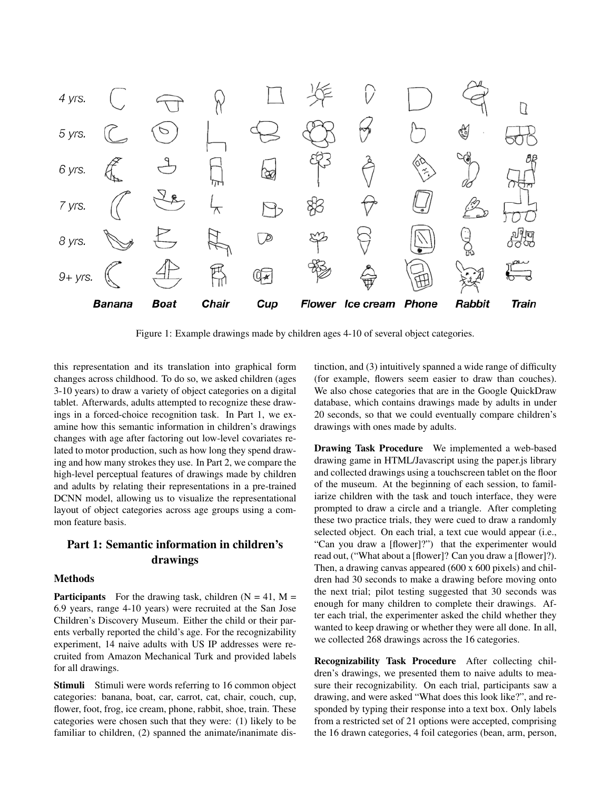

Figure 1: Example drawings made by children ages 4-10 of several object categories.

this representation and its translation into graphical form changes across childhood. To do so, we asked children (ages 3-10 years) to draw a variety of object categories on a digital tablet. Afterwards, adults attempted to recognize these drawings in a forced-choice recognition task. In Part 1, we examine how this semantic information in children's drawings changes with age after factoring out low-level covariates related to motor production, such as how long they spend drawing and how many strokes they use. In Part 2, we compare the high-level perceptual features of drawings made by children and adults by relating their representations in a pre-trained DCNN model, allowing us to visualize the representational layout of object categories across age groups using a common feature basis.

# Part 1: Semantic information in children's drawings

### Methods

**Participants** For the drawing task, children  $(N = 41, M = 1)$ 6.9 years, range 4-10 years) were recruited at the San Jose Children's Discovery Museum. Either the child or their parents verbally reported the child's age. For the recognizability experiment, 14 naive adults with US IP addresses were recruited from Amazon Mechanical Turk and provided labels for all drawings.

Stimuli Stimuli were words referring to 16 common object categories: banana, boat, car, carrot, cat, chair, couch, cup, flower, foot, frog, ice cream, phone, rabbit, shoe, train. These categories were chosen such that they were: (1) likely to be familiar to children, (2) spanned the animate/inanimate distinction, and (3) intuitively spanned a wide range of difficulty (for example, flowers seem easier to draw than couches). We also chose categories that are in the Google QuickDraw database, which contains drawings made by adults in under 20 seconds, so that we could eventually compare children's drawings with ones made by adults.

Drawing Task Procedure We implemented a web-based drawing game in HTML/Javascript using the paper.js library and collected drawings using a touchscreen tablet on the floor of the museum. At the beginning of each session, to familiarize children with the task and touch interface, they were prompted to draw a circle and a triangle. After completing these two practice trials, they were cued to draw a randomly selected object. On each trial, a text cue would appear (i.e., "Can you draw a [flower]?") that the experimenter would read out, ("What about a [flower]? Can you draw a [flower]?). Then, a drawing canvas appeared (600 x 600 pixels) and children had 30 seconds to make a drawing before moving onto the next trial; pilot testing suggested that 30 seconds was enough for many children to complete their drawings. After each trial, the experimenter asked the child whether they wanted to keep drawing or whether they were all done. In all, we collected 268 drawings across the 16 categories.

Recognizability Task Procedure After collecting children's drawings, we presented them to naive adults to measure their recognizability. On each trial, participants saw a drawing, and were asked "What does this look like?", and responded by typing their response into a text box. Only labels from a restricted set of 21 options were accepted, comprising the 16 drawn categories, 4 foil categories (bean, arm, person,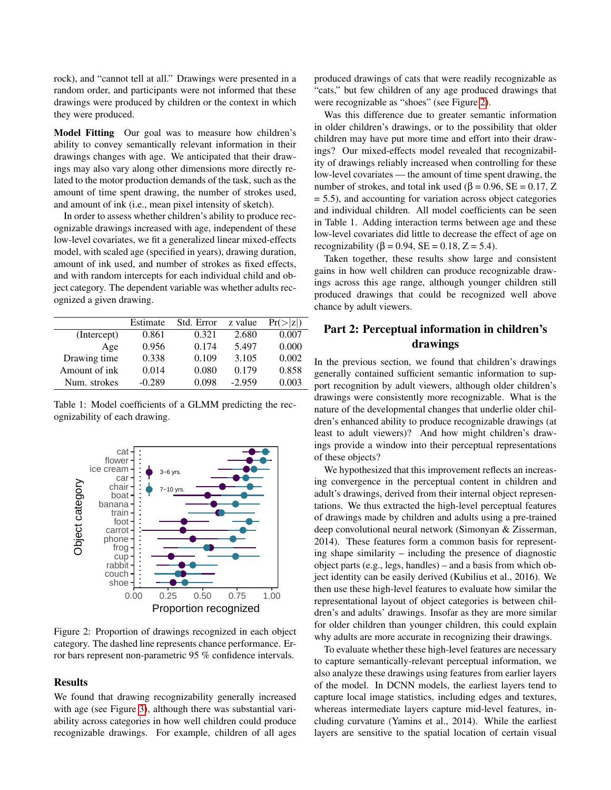rock), and "cannot tell at all." Drawings were presented in a random order, and participants were not informed that these drawings were produced by children or the context in which they were produced.

Model Fitting Our goal was to measure how children's ability to convey semantically relevant information in their drawings changes with age. We anticipated that their drawings may also vary along other dimensions more directly related to the motor production demands of the task, such as the amount of time spent drawing, the number of strokes used, and amount of ink (i.e., mean pixel intensity of sketch).

In order to assess whether children's ability to produce recognizable drawings increased with age, independent of these low-level covariates, we fit a generalized linear mixed-effects model, with scaled age (specified in years), drawing duration, amount of ink used, and number of strokes as fixed effects, and with random intercepts for each individual child and object category. The dependent variable was whether adults recognized a given drawing.

|               | Estimate | Std. Error | z value  | Pr(> z ) |
|---------------|----------|------------|----------|----------|
| (Intercept)   | 0.861    | 0.321      | 2.680    | 0.007    |
| Age           | 0.956    | 0.174      | 5.497    | 0.000    |
| Drawing time  | 0.338    | 0.109      | 3.105    | 0.002    |
| Amount of ink | 0.014    | 0.080      | 0.179    | 0.858    |
| Num. strokes  | $-0.289$ | 0.098      | $-2.959$ | 0.003    |

Table 1: Model coefficients of a GLMM predicting the recognizability of each drawing.

<span id="page-2-0"></span>

Figure 2: Proportion of drawings recognized in each object category. The dashed line represents chance performance. Error bars represent non-parametric 95 % confidence intervals.

## **Results**

We found that drawing recognizability generally increased with age (see Figure [3\)](#page-3-0), although there was substantial variability across categories in how well children could produce recognizable drawings. For example, children of all ages produced drawings of cats that were readily recognizable as "cats," but few children of any age produced drawings that were recognizable as "shoes" (see Figure [2\)](#page-2-0).

Was this difference due to greater semantic information in older children's drawings, or to the possibility that older children may have put more time and effort into their drawings? Our mixed-effects model revealed that recognizability of drawings reliably increased when controlling for these low-level covariates — the amount of time spent drawing, the number of strokes, and total ink used ( $\beta$  = 0.96, SE = 0.17, Z = 5.5), and accounting for variation across object categories and individual children. All model coefficients can be seen in Table 1. Adding interaction terms between age and these low-level covariates did little to decrease the effect of age on recognizability (β = 0.94, SE = 0.18, Z = 5.4).

Taken together, these results show large and consistent gains in how well children can produce recognizable drawings across this age range, although younger children still produced drawings that could be recognized well above chance by adult viewers.

# Part 2: Perceptual information in children's drawings

In the previous section, we found that children's drawings generally contained sufficient semantic information to support recognition by adult viewers, although older children's drawings were consistently more recognizable. What is the nature of the developmental changes that underlie older children's enhanced ability to produce recognizable drawings (at least to adult viewers)? And how might children's drawings provide a window into their perceptual representations of these objects?

We hypothesized that this improvement reflects an increasing convergence in the perceptual content in children and adult's drawings, derived from their internal object representations. We thus extracted the high-level perceptual features of drawings made by children and adults using a pre-trained deep convolutional neural network (Simonyan & Zisserman, 2014). These features form a common basis for representing shape similarity – including the presence of diagnostic object parts (e.g., legs, handles) – and a basis from which object identity can be easily derived (Kubilius et al., 2016). We then use these high-level features to evaluate how similar the representational layout of object categories is between children's and adults' drawings. Insofar as they are more similar for older children than younger children, this could explain why adults are more accurate in recognizing their drawings.

To evaluate whether these high-level features are necessary to capture semantically-relevant perceptual information, we also analyze these drawings using features from earlier layers of the model. In DCNN models, the earliest layers tend to capture local image statistics, including edges and textures, whereas intermediate layers capture mid-level features, including curvature (Yamins et al., 2014). While the earliest layers are sensitive to the spatial location of certain visual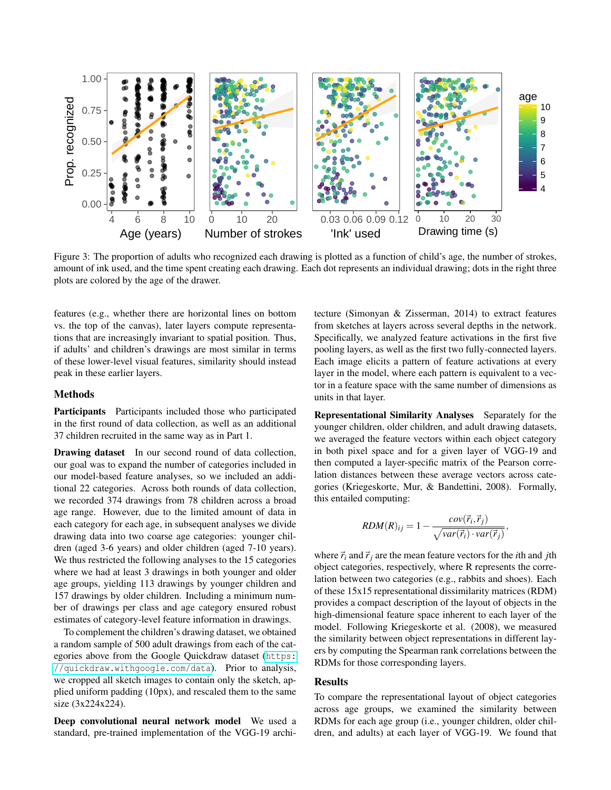<span id="page-3-0"></span>

Figure 3: The proportion of adults who recognized each drawing is plotted as a function of child's age, the number of strokes, amount of ink used, and the time spent creating each drawing. Each dot represents an individual drawing; dots in the right three plots are colored by the age of the drawer.

features (e.g., whether there are horizontal lines on bottom vs. the top of the canvas), later layers compute representations that are increasingly invariant to spatial position. Thus, if adults' and children's drawings are most similar in terms of these lower-level visual features, similarity should instead peak in these earlier layers.

### Methods

Participants Participants included those who participated in the first round of data collection, as well as an additional 37 children recruited in the same way as in Part 1.

Drawing dataset In our second round of data collection, our goal was to expand the number of categories included in our model-based feature analyses, so we included an additional 22 categories. Across both rounds of data collection, we recorded 374 drawings from 78 children across a broad age range. However, due to the limited amount of data in each category for each age, in subsequent analyses we divide drawing data into two coarse age categories: younger children (aged 3-6 years) and older children (aged 7-10 years). We thus restricted the following analyses to the 15 categories where we had at least 3 drawings in both younger and older age groups, yielding 113 drawings by younger children and 157 drawings by older children. Including a minimum number of drawings per class and age category ensured robust estimates of category-level feature information in drawings.

To complement the children's drawing dataset, we obtained a random sample of 500 adult drawings from each of the categories above from the Google Quickdraw dataset ([https:](https://quickdraw.withgoogle.com/data) [//quickdraw.withgoogle.com/data](https://quickdraw.withgoogle.com/data)). Prior to analysis, we cropped all sketch images to contain only the sketch, applied uniform padding (10px), and rescaled them to the same size (3x224x224).

Deep convolutional neural network model We used a standard, pre-trained implementation of the VGG-19 architecture (Simonyan & Zisserman, 2014) to extract features from sketches at layers across several depths in the network. Specifically, we analyzed feature activations in the first five pooling layers, as well as the first two fully-connected layers. Each image elicits a pattern of feature activations at every layer in the model, where each pattern is equivalent to a vector in a feature space with the same number of dimensions as units in that layer.

Representational Similarity Analyses Separately for the younger children, older children, and adult drawing datasets, we averaged the feature vectors within each object category in both pixel space and for a given layer of VGG-19 and then computed a layer-specific matrix of the Pearson correlation distances between these average vectors across categories (Kriegeskorte, Mur, & Bandettini, 2008). Formally, this entailed computing:

$$
RDM(R)_{ij} = 1 - \frac{cov(\vec{r}_i, \vec{r}_j)}{\sqrt{var(\vec{r}_i) \cdot var(\vec{r}_j)}}
$$

,

where  $\vec{r}_i$  and  $\vec{r}_j$  are the mean feature vectors for the *i*th and *j*th object categories, respectively, where R represents the correlation between two categories (e.g., rabbits and shoes). Each of these 15x15 representational dissimilarity matrices (RDM) provides a compact description of the layout of objects in the high-dimensional feature space inherent to each layer of the model. Following Kriegeskorte et al. (2008), we measured the similarity between object representations in different layers by computing the Spearman rank correlations between the RDMs for those corresponding layers.

### Results

To compare the representational layout of object categories across age groups, we examined the similarity between RDMs for each age group (i.e., younger children, older children, and adults) at each layer of VGG-19. We found that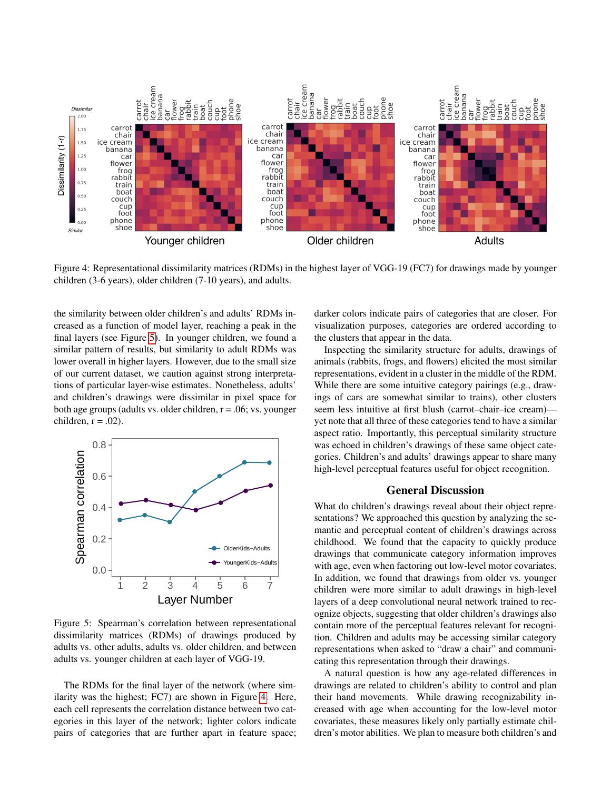<span id="page-4-1"></span>

Figure 4: Representational dissimilarity matrices (RDMs) in the highest layer of VGG-19 (FC7) for drawings made by younger children (3-6 years), older children (7-10 years), and adults.

the similarity between older children's and adults' RDMs increased as a function of model layer, reaching a peak in the final layers (see Figure [5\)](#page-4-0). In younger children, we found a similar pattern of results, but similarity to adult RDMs was lower overall in higher layers. However, due to the small size of our current dataset, we caution against strong interpretations of particular layer-wise estimates. Nonetheless, adults' and children's drawings were dissimilar in pixel space for both age groups (adults vs. older children,  $r = .06$ ; vs. younger children,  $r = .02$ ).

<span id="page-4-0"></span>

Figure 5: Spearman's correlation between representational dissimilarity matrices (RDMs) of drawings produced by adults vs. other adults, adults vs. older children, and between adults vs. younger children at each layer of VGG-19.

The RDMs for the final layer of the network (where similarity was the highest; FC7) are shown in Figure [4.](#page-4-1) Here, each cell represents the correlation distance between two categories in this layer of the network; lighter colors indicate pairs of categories that are further apart in feature space; darker colors indicate pairs of categories that are closer. For visualization purposes, categories are ordered according to the clusters that appear in the data.

Inspecting the similarity structure for adults, drawings of animals (rabbits, frogs, and flowers) elicited the most similar representations, evident in a cluster in the middle of the RDM. While there are some intuitive category pairings (e.g., drawings of cars are somewhat similar to trains), other clusters seem less intuitive at first blush (carrot–chair–ice cream) yet note that all three of these categories tend to have a similar aspect ratio. Importantly, this perceptual similarity structure was echoed in children's drawings of these same object categories. Children's and adults' drawings appear to share many high-level perceptual features useful for object recognition.

### General Discussion

What do children's drawings reveal about their object representations? We approached this question by analyzing the semantic and perceptual content of children's drawings across childhood. We found that the capacity to quickly produce drawings that communicate category information improves with age, even when factoring out low-level motor covariates. In addition, we found that drawings from older vs. younger children were more similar to adult drawings in high-level layers of a deep convolutional neural network trained to recognize objects, suggesting that older children's drawings also contain more of the perceptual features relevant for recognition. Children and adults may be accessing similar category representations when asked to "draw a chair" and communicating this representation through their drawings.

A natural question is how any age-related differences in drawings are related to children's ability to control and plan their hand movements. While drawing recognizability increased with age when accounting for the low-level motor covariates, these measures likely only partially estimate children's motor abilities. We plan to measure both children's and